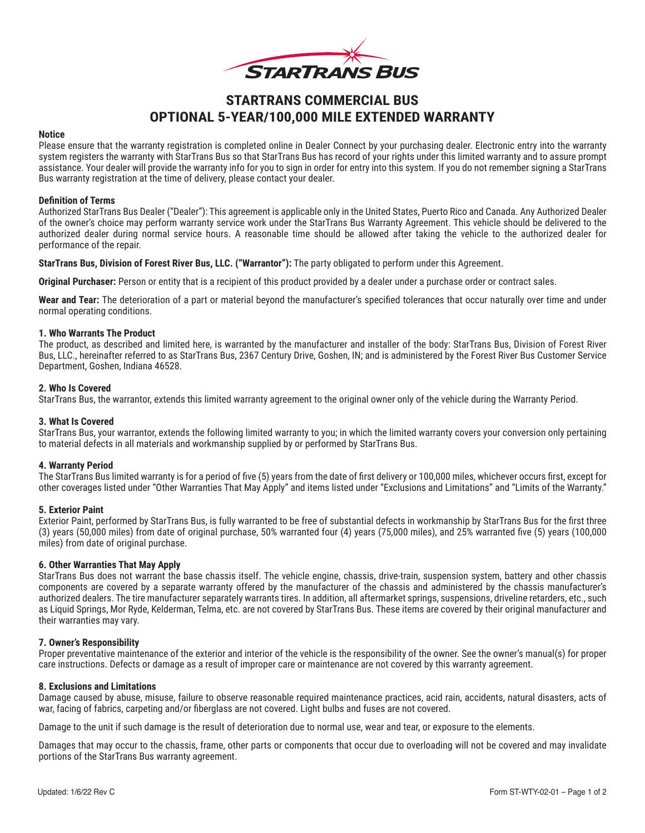

# **STARTRANS COMMERCIAL BUS OPTIONAL 5-YEAR/100,000 MILE EXTENDED WARRANTY**

#### **Notice**

Please ensure that the warranty registration is completed online in Dealer Connect by your purchasing dealer. Electronic entry into the warranty system registers the warranty with StarTrans Bus so that StarTrans Bus has record of your rights under this limited warranty and to assure prompt assistance. Your dealer will provide the warranty info for you to sign in order for entry into this system. If you do not remember signing a StarTrans Bus warranty registration at the time of delivery, please contact your dealer.

### **Definition of Terms**

Authorized StarTrans Bus Dealer ("Dealer"): This agreement is applicable only in the United States, Puerto Rico and Canada. Any Authorized Dealer of the owner's choice may perform warranty service work under the StarTrans Bus Warranty Agreement. This vehicle should be delivered to the authorized dealer during normal service hours. A reasonable time should be allowed after taking the vehicle to the authorized dealer for performance of the repair.

**StarTrans Bus, Division of Forest River Bus, LLC. ("Warrantor"):** The party obligated to perform under this Agreement.

**Original Purchaser:** Person or entity that is a recipient of this product provided by a dealer under a purchase order or contract sales.

**Wear and Tear:** The deterioration of a part or material beyond the manufacturer's specified tolerances that occur naturally over time and under normal operating conditions.

## **1. Who Warrants The Product**

The product, as described and limited here, is warranted by the manufacturer and installer of the body: StarTrans Bus, Division of Forest River Bus, LLC., hereinafter referred to as StarTrans Bus, 2367 Century Drive, Goshen, IN; and is administered by the Forest River Bus Customer Service Department, Goshen, Indiana 46528.

## **2. Who Is Covered**

StarTrans Bus, the warrantor, extends this limited warranty agreement to the original owner only of the vehicle during the Warranty Period.

## **3. What Is Covered**

StarTrans Bus, your warrantor, extends the following limited warranty to you; in which the limited warranty covers your conversion only pertaining to material defects in all materials and workmanship supplied by or performed by StarTrans Bus.

# **4. Warranty Period**

The StarTrans Bus limited warranty is for a period of five (5) years from the date of first delivery or 100,000 miles, whichever occurs first, except for other coverages listed under "Other Warranties That May Apply" and items listed under "Exclusions and Limitations" and "Limits of the Warranty."

# **5. Exterior Paint**

Exterior Paint, performed by StarTrans Bus, is fully warranted to be free of substantial defects in workmanship by StarTrans Bus for the first three (3) years (50,000 miles) from date of original purchase, 50% warranted four (4) years (75,000 miles), and 25% warranted five (5) years (100,000 miles) from date of original purchase.

#### **6. Other Warranties That May Apply**

StarTrans Bus does not warrant the base chassis itself. The vehicle engine, chassis, drive‐train, suspension system, battery and other chassis components are covered by a separate warranty offered by the manufacturer of the chassis and administered by the chassis manufacturer's authorized dealers. The tire manufacturer separately warrants tires. In addition, all aftermarket springs, suspensions, driveline retarders, etc., such as Liquid Springs, Mor Ryde, Kelderman, Telma, etc. are not covered by StarTrans Bus. These items are covered by their original manufacturer and their warranties may vary.

### **7. Owner's Responsibility**

Proper preventative maintenance of the exterior and interior of the vehicle is the responsibility of the owner. See the owner's manual(s) for proper care instructions. Defects or damage as a result of improper care or maintenance are not covered by this warranty agreement.

#### **8. Exclusions and Limitations**

Damage caused by abuse, misuse, failure to observe reasonable required maintenance practices, acid rain, accidents, natural disasters, acts of war, facing of fabrics, carpeting and/or fiberglass are not covered. Light bulbs and fuses are not covered.

Damage to the unit if such damage is the result of deterioration due to normal use, wear and tear, or exposure to the elements.

Damages that may occur to the chassis, frame, other parts or components that occur due to overloading will not be covered and may invalidate portions of the StarTrans Bus warranty agreement.